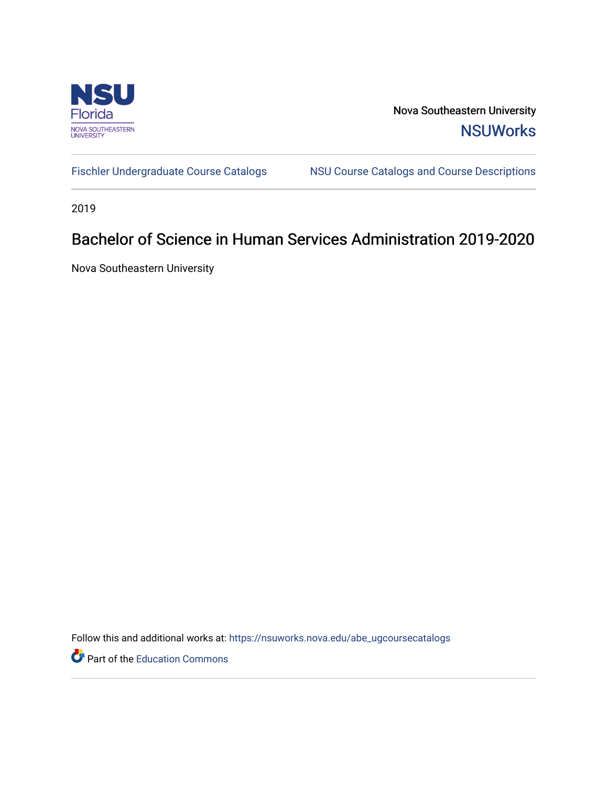

Nova Southeastern University **NSUWorks** 

[Fischler Undergraduate Course Catalogs](https://nsuworks.nova.edu/abe_ugcoursecatalogs) MSU Course Catalogs and Course Descriptions

2019

## Bachelor of Science in Human Services Administration 2019-2020

Nova Southeastern University

Follow this and additional works at: [https://nsuworks.nova.edu/abe\\_ugcoursecatalogs](https://nsuworks.nova.edu/abe_ugcoursecatalogs?utm_source=nsuworks.nova.edu%2Fabe_ugcoursecatalogs%2F37&utm_medium=PDF&utm_campaign=PDFCoverPages) 

Part of the [Education Commons](http://network.bepress.com/hgg/discipline/784?utm_source=nsuworks.nova.edu%2Fabe_ugcoursecatalogs%2F37&utm_medium=PDF&utm_campaign=PDFCoverPages)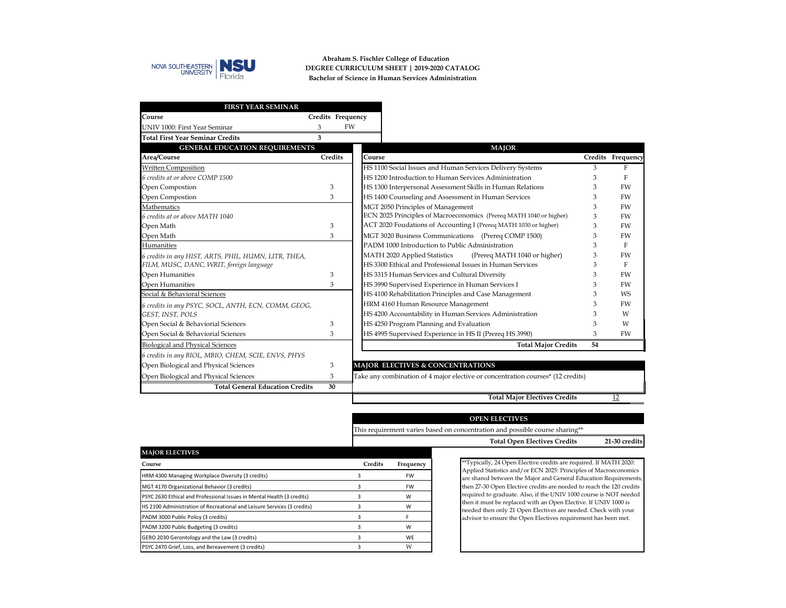

**Abraham S. Fischler College of Education Bachelor of Science in Human Services Administration DEGREE CURRICULUM SHEET | 2019-2020 CATALOG**

| <b>FIRST YEAR SEMINAR</b>                            |                   |                                                                                 |    |                   |
|------------------------------------------------------|-------------------|---------------------------------------------------------------------------------|----|-------------------|
| Course                                               | Credits Frequency |                                                                                 |    |                   |
| UNIV 1000: First Year Seminar                        | 3                 | <b>FW</b>                                                                       |    |                   |
| <b>Total First Year Seminar Credits</b>              | 3                 |                                                                                 |    |                   |
| <b>GENERAL EDUCATION REQUIREMENTS</b>                |                   | <b>MAJOR</b>                                                                    |    |                   |
| Area/Course                                          | <b>Credits</b>    | Course                                                                          |    | Credits Frequency |
| <b>Written Composition</b>                           |                   | HS 1100 Social Issues and Human Services Delivery Systems                       | 3  | F                 |
| 6 credits at or above COMP 1500                      |                   | HS 1200 Introduction to Human Services Administration                           | 3  | F                 |
| Open Compostion                                      | 3                 | HS 1300 Interpersonal Assessment Skills in Human Relations                      | 3  | FW                |
| Open Compostion                                      | 3                 | HS 1400 Counseling and Assessment in Human Services                             | 3  | <b>FW</b>         |
| Mathematics                                          |                   | MGT 2050 Principles of Management                                               | 3  | <b>FW</b>         |
| 6 credits at or above MATH 1040                      |                   | ECN 2025 Principles of Macroeconomics (Prereq MATH 1040 or higher)              | 3  | FW                |
| Open Math                                            | 3                 | ACT 2020 Foudations of Accounting I (Prereq MATH 1030 or higher)                | 3  | <b>FW</b>         |
| Open Math                                            | 3                 | MGT 3020 Business Communications (Prereq COMP 1500)                             | 3  | <b>FW</b>         |
| Humanities                                           |                   | PADM 1000 Introduction to Public Administration                                 | 3  | F                 |
| 6 credits in any HIST, ARTS, PHIL, HUMN, LITR, THEA, |                   | MATH 2020 Applied Statistics<br>(Prereq MATH 1040 or higher)                    | 3  | FW                |
| FILM, MUSC, DANC, WRIT, foreign language             |                   | HS 3300 Ethical and Professional Issues in Human Services                       | 3  | F                 |
| Open Humanities                                      | 3                 | HS 3315 Human Services and Cultural Diversity                                   | 3  | <b>FW</b>         |
| Open Humanities                                      | 3                 | HS 3990 Supervised Experience in Human Services I                               | 3  | <b>FW</b>         |
| Social & Behavioral Sciences                         |                   | HS 4100 Rehabilitation Principles and Case Management                           | 3  | <b>WS</b>         |
| 6 credits in any PSYC, SOCL, ANTH, ECN, COMM, GEOG,  |                   | HRM 4160 Human Resource Management                                              | 3  | <b>FW</b>         |
| GEST, INST, POLS                                     |                   | HS 4200 Accountability in Human Services Administration                         | 3  | W                 |
| Open Social & Behaviorial Sciences                   | 3                 | HS 4250 Program Planning and Evaluation                                         | 3  | W                 |
| Open Social & Behaviorial Sciences                   | 3                 | HS 4995 Supervised Experience in HS II (Prereq HS 3990)                         | 3  | <b>FW</b>         |
| <b>Biological and Physical Sciences</b>              |                   | <b>Total Major Credits</b>                                                      | 54 |                   |
| 6 credits in any BIOL, MBIO, CHEM, SCIE, ENVS, PHYS  |                   |                                                                                 |    |                   |
| Open Biological and Physical Sciences                | 3                 | MAJOR ELECTIVES & CONCENTRATIONS                                                |    |                   |
| Open Biological and Physical Sciences                | 3                 | Take any combination of 4 major elective or concentration courses* (12 credits) |    |                   |
| <b>Total General Education Credits</b>               | 30                |                                                                                 |    |                   |
|                                                      |                   | <b>Total Major Electives Credits</b>                                            |    | 12                |

| <b>OPEN ELECTIVES</b>                                                        |  |
|------------------------------------------------------------------------------|--|
| This requirement varies based on concentration and possible course sharing** |  |

| Total Open Electives Credits | 21-30 credits |
|------------------------------|---------------|
|                              |               |

| <b>MAJOR ELECTIVES</b>                                                  |                |           |
|-------------------------------------------------------------------------|----------------|-----------|
| Course                                                                  | <b>Credits</b> | Frequency |
| HRM 4300 Managing Workplace Diversity (3 credits)                       |                | FW        |
| MGT 4170 Organizational Behavior (3 credits)                            |                | FW        |
| PSYC 2630 Ethical and Professional Issues in Mental Health (3 credits)  |                | w         |
| HS 2100 Administration of Recreational and Leisure Services (3 credits) |                | w         |
| PADM 3000 Public Policy (3 credits)                                     | з              |           |
| PADM 3200 Public Budgeting (3 credits)                                  |                | w         |
| GERO 2030 Gerontology and the Law (3 credits)                           |                | WF        |
| PSYC 2470 Grief, Loss, and Bereavement (3 credits)                      |                | w         |

\*\*Typically, 24 Open Elective credits are required. If MATH 2020: Applied Statistics and/or ECN 2025: Principles of Macroeconomics are shared between the Major and General Education Requirements, then 27-30 Open Elective credits are needed to reach the 120 credits required to graduate. Also, if the UNIV 1000 course is NOT needed then it must be replaced with an Open Elective. If UNIV 1000 is needed then only 21 Open Electives are needed. Check with your advisor to ensure the Open Electives requirement has been met.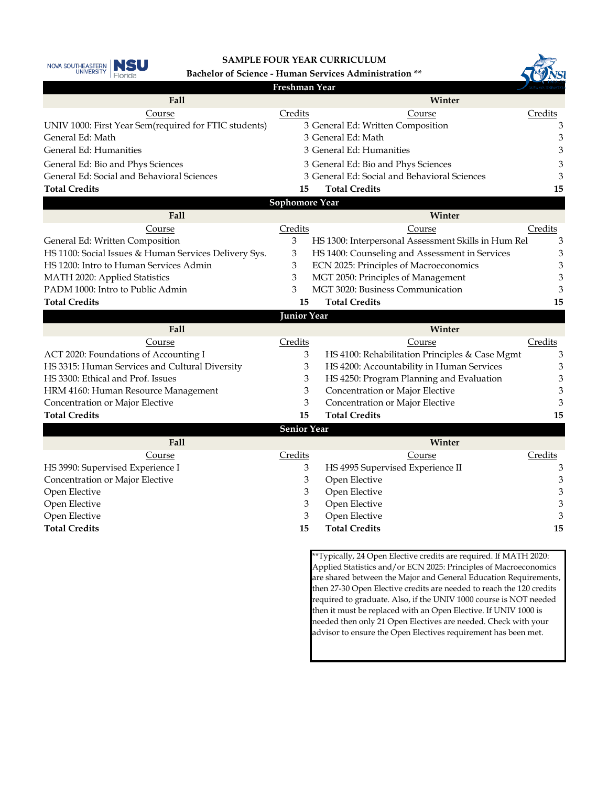

## **SAMPLE FOUR YEAR CURRICULUM**

**Bachelor of Science - Human Services Administration \*\***

|                                                       | Freshman Year         |                                                                                                                                        | NOVA SOUTHEASTER |  |
|-------------------------------------------------------|-----------------------|----------------------------------------------------------------------------------------------------------------------------------------|------------------|--|
| Fall                                                  |                       | Winter                                                                                                                                 |                  |  |
| Course                                                | Credits               | Course                                                                                                                                 | Credits          |  |
| UNIV 1000: First Year Sem(required for FTIC students) |                       | 3 General Ed: Written Composition                                                                                                      | 3                |  |
| General Ed: Math                                      |                       | 3 General Ed: Math                                                                                                                     | 3                |  |
| General Ed: Humanities                                |                       | 3 General Ed: Humanities                                                                                                               | 3                |  |
| General Ed: Bio and Phys Sciences                     |                       | 3 General Ed: Bio and Phys Sciences                                                                                                    | 3                |  |
| General Ed: Social and Behavioral Sciences            |                       | 3 General Ed: Social and Behavioral Sciences                                                                                           |                  |  |
| <b>Total Credits</b>                                  | 15                    | <b>Total Credits</b>                                                                                                                   | 15               |  |
|                                                       | <b>Sophomore Year</b> |                                                                                                                                        |                  |  |
| Fall                                                  |                       | Winter                                                                                                                                 |                  |  |
| Course                                                | Credits               | Course                                                                                                                                 | Credits          |  |
| General Ed: Written Composition                       | 3                     | HS 1300: Interpersonal Assessment Skills in Hum Rel                                                                                    | 3                |  |
| HS 1100: Social Issues & Human Services Delivery Sys. | 3                     | HS 1400: Counseling and Assessment in Services                                                                                         | 3                |  |
| HS 1200: Intro to Human Services Admin                | 3                     | ECN 2025: Principles of Macroeconomics                                                                                                 | 3                |  |
| MATH 2020: Applied Statistics                         | 3                     | MGT 2050: Principles of Management                                                                                                     | 3                |  |
| PADM 1000: Intro to Public Admin                      | 3                     | MGT 3020: Business Communication                                                                                                       |                  |  |
| <b>Total Credits</b>                                  | 15                    | <b>Total Credits</b>                                                                                                                   | 15               |  |
|                                                       | <b>Junior Year</b>    |                                                                                                                                        |                  |  |
| Fall                                                  |                       | Winter                                                                                                                                 |                  |  |
| Course                                                | Credits               | Course                                                                                                                                 | Credits          |  |
| ACT 2020: Foundations of Accounting I                 | 3                     | HS 4100: Rehabilitation Principles & Case Mgmt                                                                                         | 3                |  |
| HS 3315: Human Services and Cultural Diversity        | 3                     | HS 4200: Accountability in Human Services                                                                                              | 3                |  |
| HS 3300: Ethical and Prof. Issues                     | 3                     | HS 4250: Program Planning and Evaluation                                                                                               | 3                |  |
| HRM 4160: Human Resource Management                   | 3                     | Concentration or Major Elective                                                                                                        | 3                |  |
| Concentration or Major Elective                       | 3                     | Concentration or Major Elective                                                                                                        | 3                |  |
| <b>Total Credits</b>                                  | 15                    | <b>Total Credits</b>                                                                                                                   | 15               |  |
|                                                       | <b>Senior Year</b>    |                                                                                                                                        |                  |  |
| Fall                                                  |                       | Winter                                                                                                                                 |                  |  |
| Course                                                | Credits               | Course                                                                                                                                 | Credits          |  |
| HS 3990: Supervised Experience I                      | 3                     | HS 4995 Supervised Experience II                                                                                                       | 3                |  |
| Concentration or Major Elective                       | 3                     | Open Elective                                                                                                                          | 3                |  |
| Open Elective                                         | 3                     | Open Elective                                                                                                                          | 3                |  |
| Open Elective                                         | 3                     | Open Elective                                                                                                                          | 3                |  |
| Open Elective                                         | 3                     | Open Elective                                                                                                                          | 3                |  |
| <b>Total Credits</b>                                  | 15                    | <b>Total Credits</b>                                                                                                                   | 15               |  |
|                                                       |                       | **Typically, 24 Open Elective credits are required. If MATH 2020:<br>Applied Statistics and Lor ECN 2025; Principles of Macroeconomics |                  |  |

Applied Statistics and/or ECN 2025: Principles of Macroeconomics are shared between the Major and General Education Requirements, then 27-30 Open Elective credits are needed to reach the 120 credits required to graduate. Also, if the UNIV 1000 course is NOT needed then it must be replaced with an Open Elective. If UNIV 1000 is needed then only 21 Open Electives are needed. Check with your advisor to ensure the Open Electives requirement has been met.

 $\eta_{\text{NT}}$